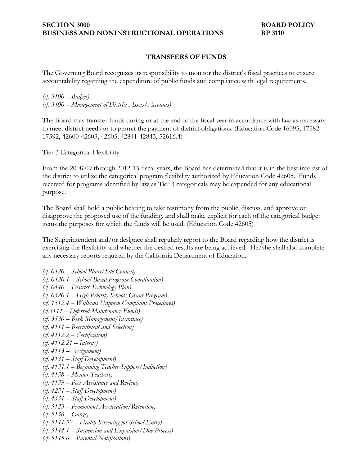## **TRANSFERS OF FUNDS**

The Governing Board recognizes its responsibility to monitor the district's fiscal practices to ensure accountability regarding the expenditure of public funds and compliance with legal requirements.

*(cf. 3100 – Budget) (cf. 3400 – Management of District Assets/Accounts)*

The Board may transfer funds during or at the end of the fiscal year in accordance with law as necessary to meet district needs or to permit the payment of district obligations. (Education Code 16095, 17582- 17592, 42600-42603, 42605, 42841-42843, 52616.4)

Tier 3 Categorical Flexibility

From the 2008-09 through 2012-13 fiscal years, the Board has determined that it is in the best interest of the district to utilize the categorical program flexibility authorized by Education Code 42605. Funds received for programs identified by law as Tier 3 categoricals may be expended for any educational purpose.

The Board shall hold a public hearing to take testimony from the public, discuss, and approve or disapprove the proposed use of the funding, and shall make explicit for each of the categorical budget items the purposes for which the funds will be used. (Education Code 42605)

The Superintendent and/or designee shall regularly report to the Board regarding how the district is exercising the flexibility and whether the desired results are being achieved. He/she shall also complete any necessary reports required by the California Department of Education.

*(cf. 0420 – School Plans/Site Council) (cf. 0420.1 – School-Based Program Coordination) (cf. 0440 – District Technology Plan) (cf. 0520.1 – High Priority Schools Grant Program) (cf. 1312.4 – Williams Uniform Complaint Procedures) (cf.3111 – Deferred Maintenance Funds) (cf. 3530 – Risk Management/Insurance) (cf. 4111 – Recruitment and Selection) (cf. 4112.2 – Certification) (cf. 4112.21 – Interns) (cf. 4113 – Assignment) (cf. 4131 – Staff Development) (cf. 4131.1 – Beginning Teacher Support/Induction) (cf. 4138 – Mentor Teachers) (cf. 4139 – Peer Assistance and Review) (cf. 4231 – Staff Development) (cf. 4331 – Staff Development) (cf. 5123 – Promotion/Acceleration/Retention) (cf. 5136 – Gangs) (cf. 5141.32 – Health Screening for School Entry) (cf. 5144.1 – Suspension and Expulsion/Due Process) (cf. 5145.6 – Parental Notifications)*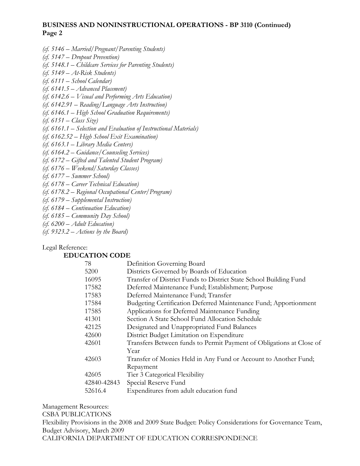## **BUSINESS AND NONINSTRUCTIONAL OPERATIONS - BP 3110 (Continued) Page 2**

- *(cf. 5146 Married/Pregnant/Parenting Students)*
- *(cf. 5147 Dropout Prevention)*
- *(cf. 5148.1 Childcare Services for Parenting Students)*
- *(cf. 5149 At-Risk Students)*
- *(cf. 6111 School Calendar)*
- *(cf. 6141.5 Advanced Placement)*
- *(cf. 6142.6 Visual and Performing Arts Education)*
- *(cf. 6142.91 Reading/Language Arts Instruction)*
- *(cf. 6146.1 High School Graduation Requirements)*
- *(cf. 6151 Class Size)*
- *(cf. 6161.1 Selection and Evaluation of Instructional Materials)*
- *(cf. 6162.52 High School Exit Examination)*
- *(cf. 6163.1 Library Media Centers)*
- *(cf. 6164.2 Guidance/Counseling Services)*
- *(cf. 6172 Gifted and Talented Student Program)*
- *(cf. 6176 Weekend/Saturday Classes)*
- *(cf. 6177 Summer School)*
- *(cf. 6178 Career Technical Education)*
- *(cf. 6178.2 Regional Occupational Center/Program)*
- *(cf. 6179 Supplemental Instruction)*
- *(cf. 6184 Continuation Education)*
- *(cf. 6185 Community Day School)*
- *(cf. 6200 Adult Education)*
- *(cf. 9323.2 Actions by the Board)*

## Legal Reference:

## **EDUCATION CODE**

| 78          | Definition Governing Board                                           |
|-------------|----------------------------------------------------------------------|
| 5200        | Districts Governed by Boards of Education                            |
| 16095       | Transfer of District Funds to District State School Building Fund    |
| 17582       | Deferred Maintenance Fund; Establishment; Purpose                    |
| 17583       | Deferred Maintenance Fund; Transfer                                  |
| 17584       | Budgeting Certification Deferred Maintenance Fund; Apportionment     |
| 17585       | Applications for Deferred Maintenance Funding                        |
| 41301       | Section A State School Fund Allocation Schedule                      |
| 42125       | Designated and Unappropriated Fund Balances                          |
| 42600       | District Budget Limitation on Expenditure                            |
| 42601       | Transfers Between funds to Permit Payment of Obligations at Close of |
|             | Year                                                                 |
| 42603       | Transfer of Monies Held in Any Fund or Account to Another Fund;      |
|             | Repayment                                                            |
| 42605       | Tier 3 Categorical Flexibility                                       |
| 42840-42843 | Special Reserve Fund                                                 |
| 52616.4     | Expenditures from adult education fund                               |
|             |                                                                      |

Management Resources: CSBA PUBLICATIONS Flexibility Provisions in the 2008 and 2009 State Budget: Policy Considerations for Governance Team, Budget Advisory, March 2009 CALIFORNIA DEPARTMENT OF EDUCATION CORRESPONDENCE